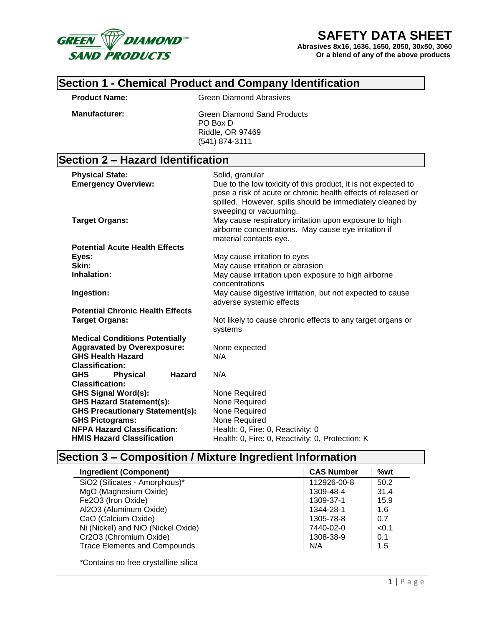

# **SAFETY DATA SHEET**

**Abrasives 8x16, 1636, 1650, 2050, 30x50, 3060 Or a blend of any of the above products**

#### **Section 1 - Chemical Product and Company Identification**

**Product Name:** Green Diamond Abrasives

**Manufacturer:** Green Diamond Sand Products PO Box D Riddle, OR 97469 (541) 874-3111

# **Section 2 – Hazard Identification**

| <b>Physical State:</b>                         | Solid, granular                                                                                                                                                                              |
|------------------------------------------------|----------------------------------------------------------------------------------------------------------------------------------------------------------------------------------------------|
| <b>Emergency Overview:</b>                     | Due to the low toxicity of this product, it is not expected to<br>pose a risk of acute or chronic health effects of released or<br>spilled. However, spills should be immediately cleaned by |
|                                                | sweeping or vacuuming.                                                                                                                                                                       |
| <b>Target Organs:</b>                          | May cause respiratory irritation upon exposure to high<br>airborne concentrations. May cause eye irritation if                                                                               |
|                                                | material contacts eye.                                                                                                                                                                       |
| <b>Potential Acute Health Effects</b>          |                                                                                                                                                                                              |
| Eyes:                                          | May cause irritation to eyes                                                                                                                                                                 |
| Skin:                                          | May cause irritation or abrasion                                                                                                                                                             |
| Inhalation:                                    | May cause irritation upon exposure to high airborne                                                                                                                                          |
|                                                | concentrations                                                                                                                                                                               |
| Ingestion:                                     | May cause digestive irritation, but not expected to cause                                                                                                                                    |
|                                                | adverse systemic effects                                                                                                                                                                     |
| <b>Potential Chronic Health Effects</b>        |                                                                                                                                                                                              |
| <b>Target Organs:</b>                          | Not likely to cause chronic effects to any target organs or                                                                                                                                  |
|                                                | systems                                                                                                                                                                                      |
| <b>Medical Conditions Potentially</b>          |                                                                                                                                                                                              |
| <b>Aggravated by Overexposure:</b>             | None expected                                                                                                                                                                                |
| <b>GHS Health Hazard</b>                       | N/A                                                                                                                                                                                          |
| <b>Classification:</b>                         |                                                                                                                                                                                              |
| <b>Hazard</b><br><b>GHS</b><br><b>Physical</b> | N/A                                                                                                                                                                                          |
| <b>Classification:</b>                         |                                                                                                                                                                                              |
| <b>GHS Signal Word(s):</b>                     | None Required                                                                                                                                                                                |
| <b>GHS Hazard Statement(s):</b>                | None Required                                                                                                                                                                                |
| <b>GHS Precautionary Statement(s):</b>         | None Required                                                                                                                                                                                |
| <b>GHS Pictograms:</b>                         | None Required                                                                                                                                                                                |
| <b>NFPA Hazard Classification:</b>             | Health: 0, Fire: 0, Reactivity: 0                                                                                                                                                            |
| <b>HMIS Hazard Classification</b>              | Health: 0, Fire: 0, Reactivity: 0, Protection: K                                                                                                                                             |

# **Section 3 – Composition / Mixture Ingredient Information**

| <b>Ingredient (Component)</b>       | <b>CAS Number</b> | %wt   |
|-------------------------------------|-------------------|-------|
| SiO2 (Silicates - Amorphous)*       | 112926-00-8       | 50.2  |
| MgO (Magnesium Oxide)               | 1309-48-4         | 31.4  |
| Fe2O3 (Iron Oxide)                  | 1309-37-1         | 15.9  |
| Al2O3 (Aluminum Oxide)              | 1344-28-1         | 1.6   |
| CaO (Calcium Oxide)                 | 1305-78-8         | 0.7   |
| Ni (Nickel) and NiO (Nickel Oxide)  | 7440-02-0         | < 0.1 |
| Cr2O3 (Chromium Oxide)              | 1308-38-9         | 0.1   |
| <b>Trace Elements and Compounds</b> | N/A               | 1.5   |
|                                     |                   |       |

\*Contains no free crystalline silica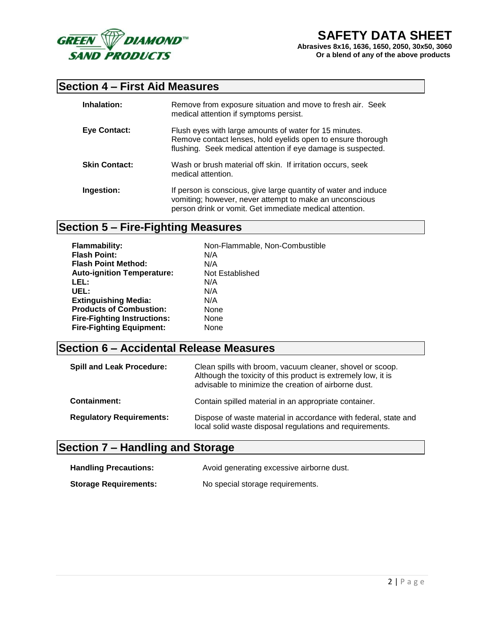

# **Section 4 – First Aid Measures**

| Inhalation:          | Remove from exposure situation and move to fresh air. Seek<br>medical attention if symptoms persist.                                                                                  |
|----------------------|---------------------------------------------------------------------------------------------------------------------------------------------------------------------------------------|
| Eye Contact:         | Flush eyes with large amounts of water for 15 minutes.<br>Remove contact lenses, hold eyelids open to ensure thorough<br>flushing. Seek medical attention if eye damage is suspected. |
| <b>Skin Contact:</b> | Wash or brush material off skin. If irritation occurs, seek<br>medical attention.                                                                                                     |
| Ingestion:           | If person is conscious, give large quantity of water and induce<br>vomiting; however, never attempt to make an unconscious<br>person drink or vomit. Get immediate medical attention. |

# **Section 5 – Fire-Fighting Measures**

| <b>Flammability:</b>               | Non-Flammable, Non-Combustible |
|------------------------------------|--------------------------------|
| <b>Flash Point:</b>                | N/A                            |
| <b>Flash Point Method:</b>         | N/A                            |
| <b>Auto-ignition Temperature:</b>  | Not Established                |
| LEL:                               | N/A                            |
| UEL:                               | N/A                            |
| <b>Extinguishing Media:</b>        | N/A                            |
| <b>Products of Combustion:</b>     | None                           |
| <b>Fire-Fighting Instructions:</b> | None                           |
| <b>Fire-Fighting Equipment:</b>    | None                           |

# **Section 6 – Accidental Release Measures**

| <b>Spill and Leak Procedure:</b> | Clean spills with broom, vacuum cleaner, shovel or scoop.<br>Although the toxicity of this product is extremely low, it is<br>advisable to minimize the creation of airborne dust. |  |  |
|----------------------------------|------------------------------------------------------------------------------------------------------------------------------------------------------------------------------------|--|--|
| <b>Containment:</b>              | Contain spilled material in an appropriate container.                                                                                                                              |  |  |
| <b>Regulatory Requirements:</b>  | Dispose of waste material in accordance with federal, state and<br>local solid waste disposal regulations and requirements.                                                        |  |  |

# **Section 7 – Handling and Storage**

| <b>Handling Precautions:</b> | Avoid generating excessive airborne dust. |
|------------------------------|-------------------------------------------|
| <b>Storage Requirements:</b> | No special storage requirements.          |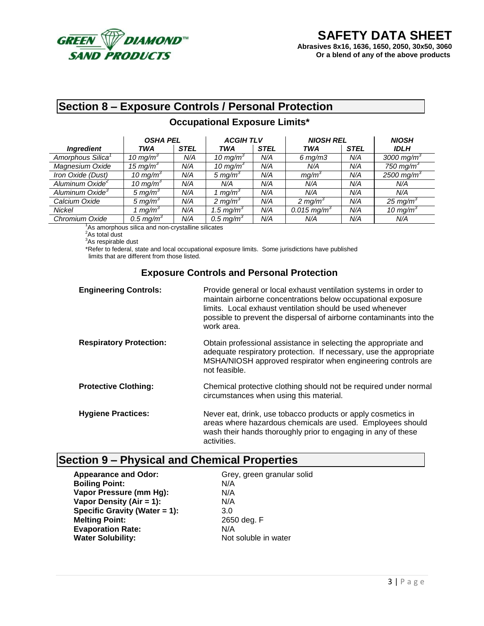

# **Section 8 – Exposure Controls / Personal Protection**

#### **Occupational Exposure Limits\***

|                               | <b>OSHA PEL</b>      |             | <b>ACGIHTLV</b>       |             | <b>NIOSH REL</b>        |             | <b>NIOSH</b>           |
|-------------------------------|----------------------|-------------|-----------------------|-------------|-------------------------|-------------|------------------------|
| <b>Ingredient</b>             | TWA                  | <b>STEL</b> | <b>TWA</b>            | <b>STEL</b> | <b>TWA</b>              | <b>STEL</b> | <b>IDLH</b>            |
| Amorphous Silica <sup>1</sup> | 10 mg/m <sup>3</sup> | N/A         | 10 mg/m <sup>3</sup>  | N/A         | $6 \, mg/m3$            | N/A         | 3000 mg/m <sup>3</sup> |
| Magnesium Oxide               | 15 mg/m <sup>3</sup> | N/A         | 10 mg/m <sup>3</sup>  | N/A         | N/A                     | N/A         | 750 mg/m <sup>3</sup>  |
| Iron Oxide (Dust)             | 10 mg/m <sup>3</sup> | N/A         | 5 mg/m <sup>3</sup>   | N/A         | mq/m <sup>3</sup>       | N/A         | 2500 mg/m <sup>3</sup> |
| Aluminum Oxide <sup>2</sup>   | 10 mg/m <sup>3</sup> | N/A         | N/A                   | N/A         | N/A                     | N/A         | N/A                    |
| Aluminum Oxide <sup>3</sup>   | 5 mg/m <sup>3</sup>  | N/A         | mg/m <sup>3</sup>     | N/A         | N/A                     | N/A         | N/A                    |
| Calcium Oxide                 | 5 mg/m <sup>3</sup>  | N/A         | 2 mg/m <sup>3</sup>   | N/A         | 2 mg/m <sup>3</sup>     | N/A         | $25 \text{ mg/m}^3$    |
| Nickel                        | mq/m <sup>3</sup>    | N/A         | 1.5 mg/m <sup>3</sup> | N/A         | 0.015 mg/m <sup>3</sup> | N/A         | 10 mg/m <sup>3</sup>   |
| Chromium Oxide                | $0.5 \text{ mg/m}^3$ | N/A         | 0.5 mg/ $m3$          | N/A         | N/A                     | N/A         | N/A                    |

<sup>1</sup>As amorphous silica and non-crystalline silicates

<sup>2</sup>As total dust

<sup>3</sup>As respirable dust

\*Refer to federal, state and local occupational exposure limits. Some jurisdictions have published limits that are different from those listed.

#### **Exposure Controls and Personal Protection**

| <b>Engineering Controls:</b>   | Provide general or local exhaust ventilation systems in order to<br>maintain airborne concentrations below occupational exposure<br>limits. Local exhaust ventilation should be used whenever<br>possible to prevent the dispersal of airborne contaminants into the<br>work area. |
|--------------------------------|------------------------------------------------------------------------------------------------------------------------------------------------------------------------------------------------------------------------------------------------------------------------------------|
| <b>Respiratory Protection:</b> | Obtain professional assistance in selecting the appropriate and<br>adequate respiratory protection. If necessary, use the appropriate<br>MSHA/NIOSH approved respirator when engineering controls are<br>not feasible.                                                             |
| <b>Protective Clothing:</b>    | Chemical protective clothing should not be required under normal<br>circumstances when using this material.                                                                                                                                                                        |
| <b>Hygiene Practices:</b>      | Never eat, drink, use tobacco products or apply cosmetics in<br>areas where hazardous chemicals are used. Employees should<br>wash their hands thoroughly prior to engaging in any of these<br>activities.                                                                         |

# **Section 9 – Physical and Chemical Properties**

Appearance and Odor:<br>
Boiling Point:<br>
Boiling Point:
and Color:
N/A **Boiling Point: Vapor Pressure (mm Hg):** N/A **Vapor Density (Air = 1):** N/A **Specific Gravity (Water = 1):** 3.0 **Melting Point:** 2650 deg. F **Evaporation Rate:** N/A **Water Solubility:** Not soluble in water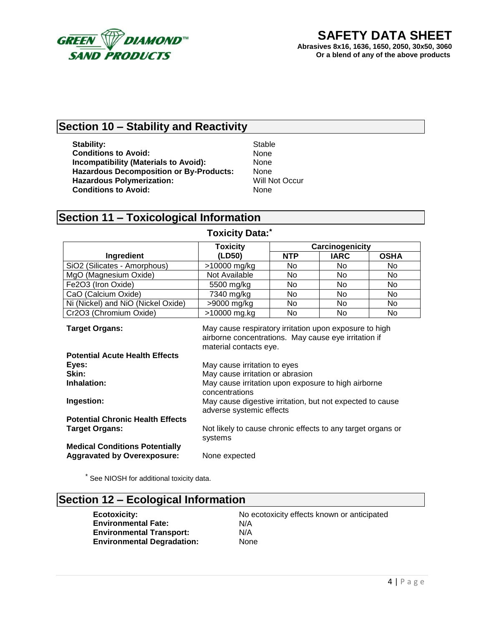

## **Section 10 – Stability and Reactivity**

**Stability:** Stable<br> **Conditions to Avoid:** Stable Conditions to Avoid: **Conditions to Avoid: Incompatibility (Materials to Avoid):** None **Hazardous Decomposition or By-Products:** None **Hazardous Polymerization:** Will Not Occur **Conditions to Avoid:** None

# **Section 11 – Toxicological Information**

|                                                                  | <b>Toxicity</b>                                                                                                                          | Carcinogenicity |             |             |  |
|------------------------------------------------------------------|------------------------------------------------------------------------------------------------------------------------------------------|-----------------|-------------|-------------|--|
| Ingredient                                                       | (LD50)                                                                                                                                   | <b>NTP</b>      | <b>IARC</b> | <b>OSHA</b> |  |
| SiO2 (Silicates - Amorphous)                                     | >10000 mg/kg                                                                                                                             | No.             | No.         | No.         |  |
| MgO (Magnesium Oxide)                                            | Not Available                                                                                                                            | No.             | No          | No          |  |
| Fe2O3 (Iron Oxide)                                               | 5500 mg/kg                                                                                                                               | No              | No          | No          |  |
| CaO (Calcium Oxide)                                              | 7340 mg/kg                                                                                                                               | No.             | No.         | No.         |  |
| Ni (Nickel) and NiO (Nickel Oxide)                               | >9000 mg/kg                                                                                                                              | No.             | No.         | No.         |  |
| Cr2O3 (Chromium Oxide)                                           | >10000 mg.kg                                                                                                                             | No              | No          | No          |  |
| <b>Target Organs:</b>                                            | May cause respiratory irritation upon exposure to high<br>airborne concentrations. May cause eye irritation if<br>material contacts eye. |                 |             |             |  |
| <b>Potential Acute Health Effects</b>                            |                                                                                                                                          |                 |             |             |  |
| Eyes:                                                            | May cause irritation to eyes                                                                                                             |                 |             |             |  |
| Skin:                                                            | May cause irritation or abrasion                                                                                                         |                 |             |             |  |
| Inhalation:                                                      | May cause irritation upon exposure to high airborne<br>concentrations                                                                    |                 |             |             |  |
| Ingestion:                                                       | May cause digestive irritation, but not expected to cause<br>adverse systemic effects                                                    |                 |             |             |  |
| <b>Potential Chronic Health Effects</b><br><b>Target Organs:</b> | Not likely to cause chronic effects to any target organs or<br>systems                                                                   |                 |             |             |  |
| <b>Medical Conditions Potentially</b>                            |                                                                                                                                          |                 |             |             |  |

#### **Toxicity Data:\***

\* See NIOSH for additional toxicity data.

**Aggravated by Overexposure:** None expected

#### **Section 12 – Ecological Information**

**Ecotoxicity:** No ecotoxicity effects known or anticipated **Environmental Fate:** N/A **Environmental Transport:** N/A **Environmental Degradation:** None